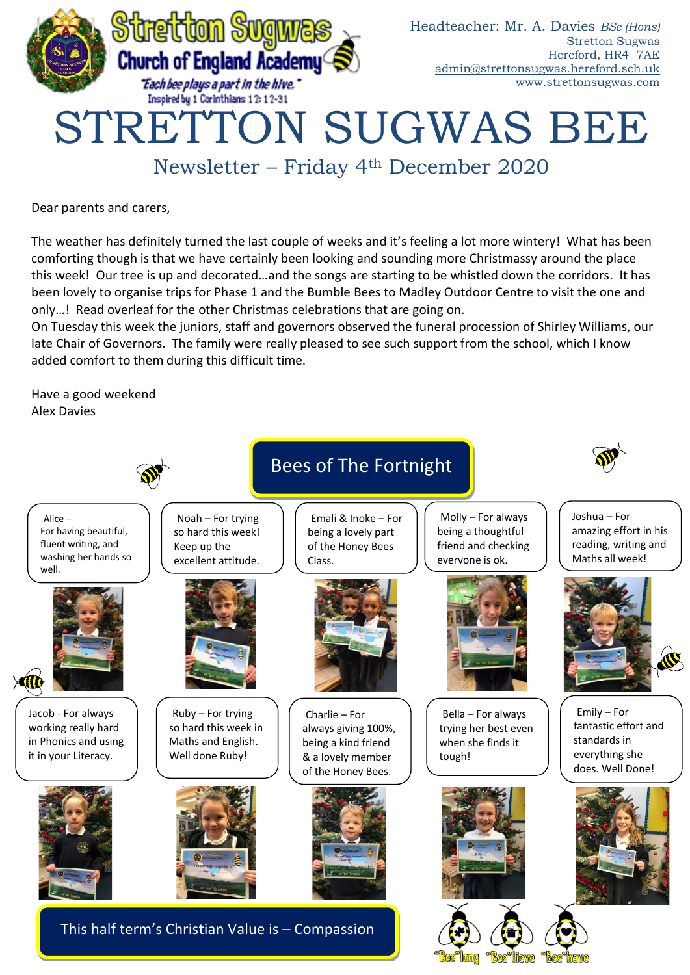

Dear parents and carers,

The weather has definitely turned the last couple of weeks and it's feeling a lot more wintery! What has been comforting though is that we have certainly been looking and sounding more Christmassy around the place this week! Our tree is up and decorated…and the songs are starting to be whistled down the corridors. It has been lovely to organise trips for Phase 1 and the Bumble Bees to Madley Outdoor Centre to visit the one and only…! Read overleaf for the other Christmas celebrations that are going on.

On Tuesday this week the juniors, staff and governors observed the funeral procession of Shirley Williams, our late Chair of Governors. The family were really pleased to see such support from the school, which I know added comfort to them during this difficult time.

Have a good weekend Alex Davies